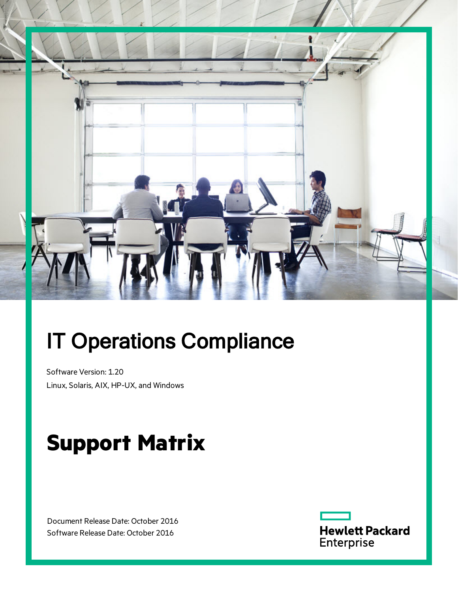

# IT Operations Compliance

Software Version: 1.20 Linux, Solaris, AIX, HP-UX, and Windows

# **Support Matrix**

Document Release Date: October 2016 Software Release Date: October 2016

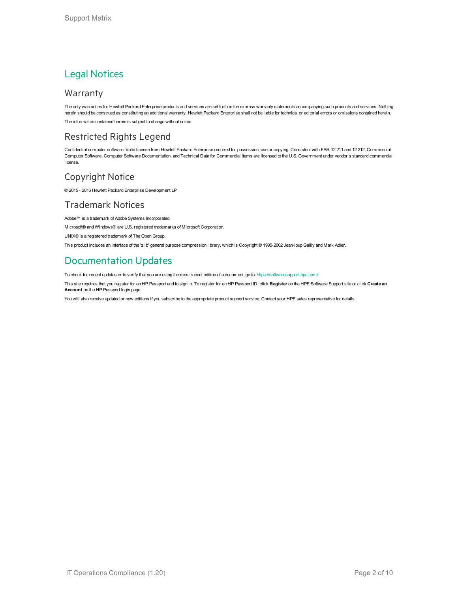### Legal Notices

#### Warranty

The only warranties for Hewlett Packard Enterprise products and services are set forth in the express warranty statements accompanying such products and services. Nothing herein should be construed as constituting an additional warranty. Hewlett Packard Enterprise shall not be liable for technical or editorial errors or omissions contained herein. The information contained herein is subject to change without notice.

### Restricted Rights Legend

Confidential computer software. Valid license from Hewlett Packard Enterprise required for possession, use or copying. Consistent with FAR 12.211 and 12.212, Commercial Computer Software, Computer Software Documentation, and Technical Data for Commercial Items are licensed to the U.S. Government under vendor's standard commercial license.

#### Copyright Notice

© 2015 - 2016 Hewlett Packard Enterprise Development LP

#### Trademark Notices

Adobe™ is a trademark of Adobe Systems Incorporated.

Microsoft® and Windows® are U.S. registered trademarks of Microsoft Corporation.

UNIX® is a registered trademark of The Open Group.

This product includes an interface of the 'zlib' general purpose compression library, which is Copyright © 1995-2002 Jean-loup Gailly and Mark Adler.

### Documentation Updates

To check for recent updates or to verify that you are using the most recent edition of a document, go to: <https://softwaresupport.hpe.com/>.

This site requires that you register for an HP Passport and to sign in. To register for an HP Passport ID, click **Register** on the HPE Software Support site or click **Create an Account** on the HP Passport login page.

You will also receive updated or new editions if you subscribe to the appropriate product support service. Contact your HPE sales representative for details.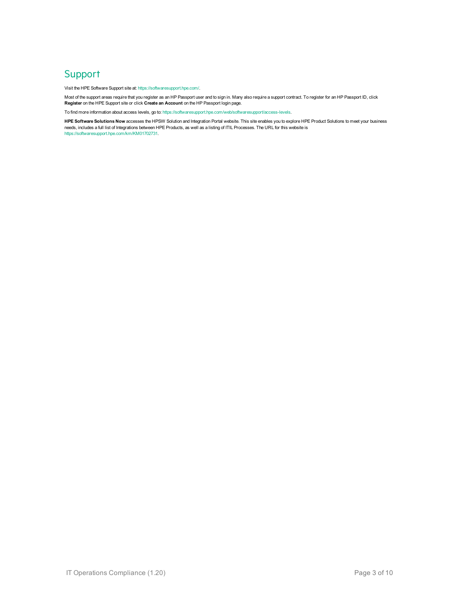### **Support**

Visit the HPE Software Support site at: <https://softwaresupport.hpe.com/>.

Most of the support areas require that you register as an HP Passport user and to sign in. Many also require a support contract. To register for an HP Passport ID, click **Register** on the HPE Support site or click **Create an Account** on the HP Passport login page.

To find more information about access levels, go to: <https://softwaresupport.hpe.com/web/softwaresupport/access-levels>.

**HPE Software Solutions Now** accesses the HPSW Solution and Integration Portal website. This site enables you to explore HPE Product Solutions to meet your business needs, includes a full list of Integrations between HPE Products, as well as a listing of ITIL Processes. The URL for this website is [https://softwaresupport.hpe.com/km/KM01702731.](https://softwaresupport.hpe.com/km/KM01702731)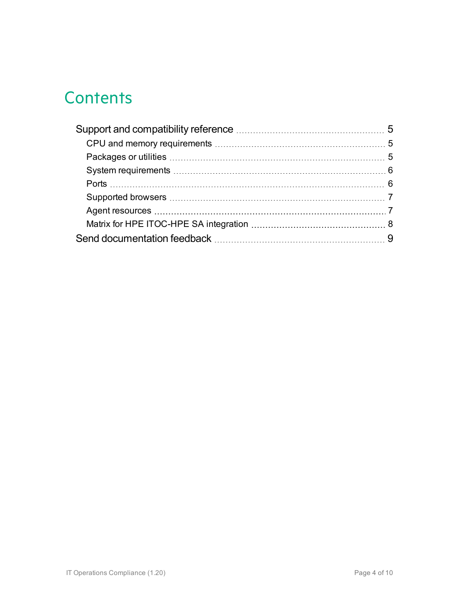# **Contents**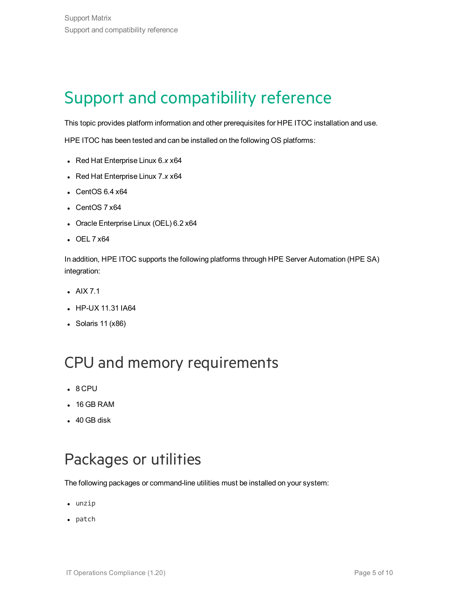# <span id="page-4-0"></span>Support and compatibility reference

This topic provides platform information and other prerequisites for HPE ITOC installation and use.

HPE ITOC has been tested and can be installed on the following OS platforms:

- <sup>l</sup> Red Hat Enterprise Linux 6.*x* x64
- Red Hat Enterprise Linux 7.x x64
- $\cdot$  CentOS 6.4  $\times$ 64
- $\cdot$  CentOS 7  $x64$
- Oracle Enterprise Linux (OEL) 6.2 x64
- $\cdot$  OEL 7  $x64$

In addition, HPE ITOC supports the following platforms through HPE Server Automation (HPE SA) integration:

- $\bullet$  AIX 7.1
- HP-UX 11.31 IA64
- Solaris  $11 (x86)$

### <span id="page-4-1"></span>CPU and memory requirements

- $.8$  CPU
- $\cdot$  16 GB RAM
- $-40$  GB disk

### <span id="page-4-2"></span>Packages or utilities

The following packages or command-line utilities must be installed on your system:

- $\bullet$  unzip
- $\bullet$  patch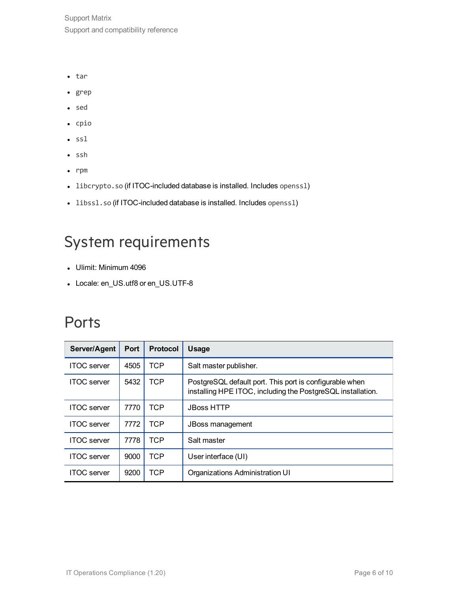Support Matrix Support and compatibility reference

- $\cdot$  tar
- $\cdot$  grep
- sed
- cpio
- $\cdot$  ssl
- $\cdot$  ssh
- $\cdot$  rpm
- libcrypto.so (if ITOC-included database is installed. Includes openssl)
- libssl.so (if ITOC-included database is installed. Includes openssl)

### <span id="page-5-0"></span>System requirements

- Ulimit: Minimum 4096
- Locale: en\_US.utf8 or en\_US.UTF-8

### <span id="page-5-1"></span>**Ports**

| Server/Agent       | <b>Port</b> | <b>Protocol</b> | <b>Usage</b>                                                                                                           |  |  |
|--------------------|-------------|-----------------|------------------------------------------------------------------------------------------------------------------------|--|--|
| <b>ITOC</b> server | 4505        | TCP.            | Salt master publisher.                                                                                                 |  |  |
| <b>ITOC</b> server | 5432        | <b>TCP</b>      | PostgreSQL default port. This port is configurable when<br>installing HPE ITOC, including the PostgreSQL installation. |  |  |
| <b>ITOC</b> server | 7770        | TCP             | <b>JBoss HTTP</b>                                                                                                      |  |  |
| <b>ITOC</b> server | 7772        | TCP             | <b>JBoss management</b>                                                                                                |  |  |
| <b>ITOC</b> server | 7778        | TCP             | Salt master                                                                                                            |  |  |
| <b>ITOC</b> server | 9000        | <b>TCP</b>      | User interface (UI)                                                                                                    |  |  |
| <b>ITOC</b> server | 9200        | TCP             | Organizations Administration UI                                                                                        |  |  |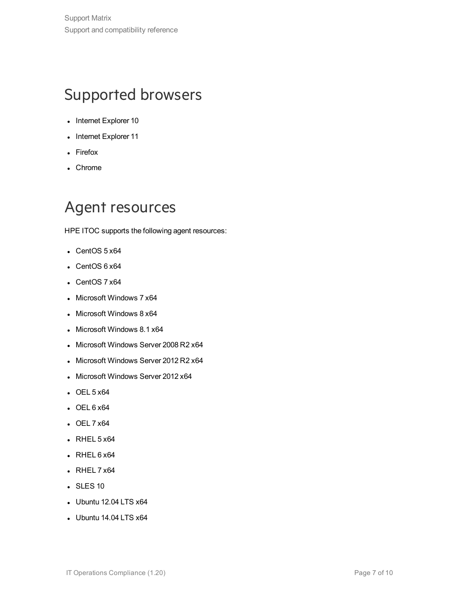## <span id="page-6-0"></span>Supported browsers

- Internet Explorer 10
- Internet Explorer 11
- Firefox
- Chrome

## <span id="page-6-1"></span>Agent resources

HPE ITOC supports the following agent resources:

- $\cdot$  CentOS 5 x64
- $\cdot$  CentOS 6 x64
- $\cdot$  CentOS 7  $x64$
- Microsoft Windows 7 x64
- $\bullet$  Microsoft Windows 8 x64
- Microsoft Windows 8.1 x64
- Microsoft Windows Server 2008 R2 x64
- Microsoft Windows Server 2012 R2 x64
- Microsoft Windows Server 2012 x64
- $\cdot$  OEL 5  $x64$
- $\cdot$  OEL 6  $x64$
- $\cdot$  OEL 7  $x64$
- $\cdot$  RHEL 5 x64
- $\cdot$  RHEL 6 x64
- $\cdot$  RHEL 7  $x64$
- SLES 10
- $\bullet$  Ubuntu 12.04 LTS  $x64$
- $\bullet$  Ubuntu 14.04 LTS  $x64$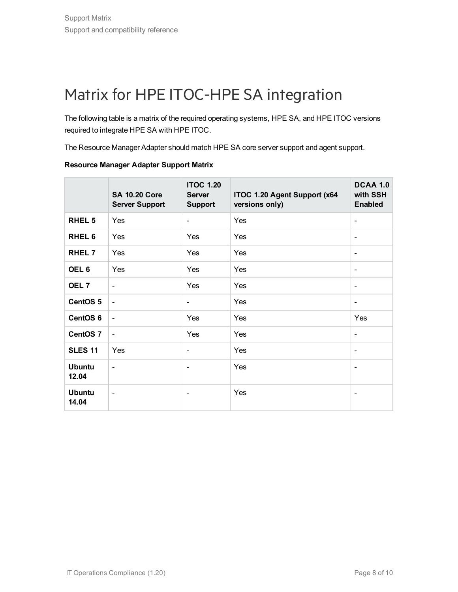# <span id="page-7-0"></span>Matrix for HPE ITOC-HPE SA integration

The following table is a matrix of the required operating systems, HPE SA, and HPE ITOC versions required to integrate HPE SA with HPE ITOC.

The Resource Manager Adapter should match HPE SA core server support and agent support.

|                        | <b>SA 10.20 Core</b><br><b>Server Support</b> | <b>ITOC 1.20</b><br><b>Server</b><br><b>Support</b> | ITOC 1.20 Agent Support (x64<br>versions only) | DCAA 1.0<br>with SSH<br><b>Enabled</b> |
|------------------------|-----------------------------------------------|-----------------------------------------------------|------------------------------------------------|----------------------------------------|
| <b>RHEL 5</b>          | Yes                                           | $\overline{\phantom{a}}$                            | Yes                                            | $\overline{\phantom{a}}$               |
| RHEL <sub>6</sub>      | Yes                                           | Yes                                                 | Yes                                            | $\overline{\phantom{a}}$               |
| RHEL 7                 | Yes                                           | Yes                                                 | Yes                                            | $\blacksquare$                         |
| OEL <sub>6</sub>       | Yes                                           | Yes                                                 | Yes                                            | $\blacksquare$                         |
| OEL <sub>7</sub>       | $\blacksquare$                                | Yes                                                 | Yes                                            | $\overline{\phantom{a}}$               |
| CentOS <sub>5</sub>    | $\blacksquare$                                | $\overline{\phantom{a}}$                            | Yes                                            | $\overline{\phantom{a}}$               |
| CentOS <sub>6</sub>    | $\overline{\phantom{a}}$                      | Yes                                                 | Yes                                            | Yes                                    |
| CentOS <sub>7</sub>    | $\blacksquare$                                | Yes                                                 | Yes                                            | $\blacksquare$                         |
| <b>SLES 11</b>         | Yes                                           | $\overline{\phantom{a}}$                            | Yes                                            | $\overline{\phantom{a}}$               |
| <b>Ubuntu</b><br>12.04 | $\blacksquare$                                | $\overline{\phantom{a}}$                            | Yes                                            | $\overline{\phantom{a}}$               |
| <b>Ubuntu</b><br>14.04 | $\overline{\phantom{a}}$                      | $\overline{\phantom{a}}$                            | Yes                                            | $\overline{\phantom{a}}$               |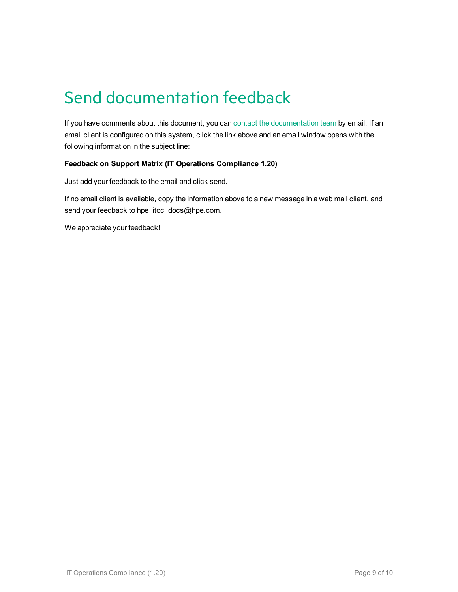# <span id="page-8-0"></span>Send documentation feedback

If you have comments about this document, you can contact the [documentation](mailto:hpe_itoc_docs@hpe.com?subject=Feedback on Support Matrix (IT Operations Compliance 1.20)) team by email. If an email client is configured on this system, click the link above and an email window opens with the following information in the subject line:

#### **Feedback on Support Matrix (IT Operations Compliance 1.20)**

Just add your feedback to the email and click send.

If no email client is available, copy the information above to a new message in a web mail client, and send your feedback to hpe\_itoc\_docs@hpe.com.

We appreciate your feedback!